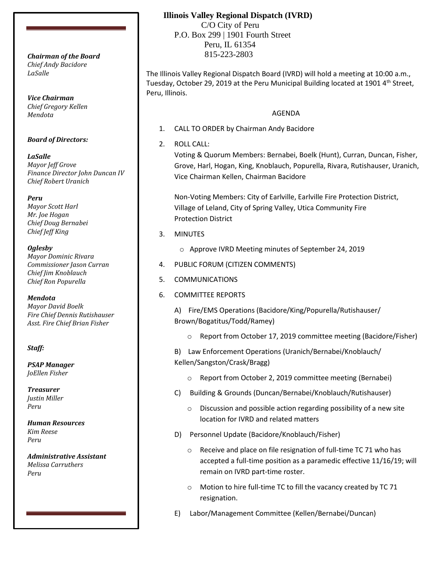*Chief Andy Bacidore LaSalle*

*Vice Chairman Chief Gregory Kellen Mendota*

### *Board of Directors:*

*LaSalle Mayor Jeff Grove Finance Director John Duncan IV Chief Robert Uranich*

*Peru*

*Mayor Scott Harl Mr. Joe Hogan Chief Doug Bernabei Chief Jeff King*

*Oglesby*

*Mayor Dominic Rivara Commissioner Jason Curran Chief Jim Knoblauch Chief Ron Popurella*

*Mendota*

*Mayor David Boelk Fire Chief Dennis Rutishauser Asst. Fire Chief Brian Fisher*

#### *Staff:*

*PSAP Manager JoEllen Fisher*

*Treasurer Justin Miller Peru*

*Human Resources Kim Reese Peru*

*Administrative Assistant Melissa Carruthers Peru*

# **Illinois Valley Regional Dispatch (IVRD)**

 C/O City of Peru P.O. Box 299 | 1901 Fourth Street Peru, IL 61354 815-223-2803 *Chairman of the Board*

> The Illinois Valley Regional Dispatch Board (IVRD) will hold a meeting at 10:00 a.m., Tuesday, October 29, 2019 at the Peru Municipal Building located at 1901 4<sup>th</sup> Street, Peru, Illinois.

## AGENDA

- 1. CALL TO ORDER by Chairman Andy Bacidore
- 2. ROLL CALL:

Voting & Quorum Members: Bernabei, Boelk (Hunt), Curran, Duncan, Fisher, Grove, Harl, Hogan, King, Knoblauch, Popurella, Rivara, Rutishauser, Uranich, Vice Chairman Kellen, Chairman Bacidore

Non-Voting Members: City of Earlville, Earlville Fire Protection District, Village of Leland, City of Spring Valley, Utica Community Fire Protection District

- 3. MINUTES
	- o Approve IVRD Meeting minutes of September 24, 2019
- 4. PUBLIC FORUM (CITIZEN COMMENTS)
- 5. COMMUNICATIONS
- 6. COMMITTEE REPORTS

A) Fire/EMS Operations (Bacidore/King/Popurella/Rutishauser/ Brown/Bogatitus/Todd/Ramey)

o Report from October 17, 2019 committee meeting (Bacidore/Fisher)

B) Law Enforcement Operations (Uranich/Bernabei/Knoblauch/ Kellen/Sangston/Crask/Bragg)

- o Report from October 2, 2019 committee meeting (Bernabei)
- C) Building & Grounds (Duncan/Bernabei/Knoblauch/Rutishauser)
	- o Discussion and possible action regarding possibility of a new site location for IVRD and related matters
- D) Personnel Update (Bacidore/Knoblauch/Fisher)
	- o Receive and place on file resignation of full-time TC 71 who has accepted a full-time position as a paramedic effective 11/16/19; will remain on IVRD part-time roster.
	- o Motion to hire full-time TC to fill the vacancy created by TC 71 resignation.
- E) Labor/Management Committee (Kellen/Bernabei/Duncan)